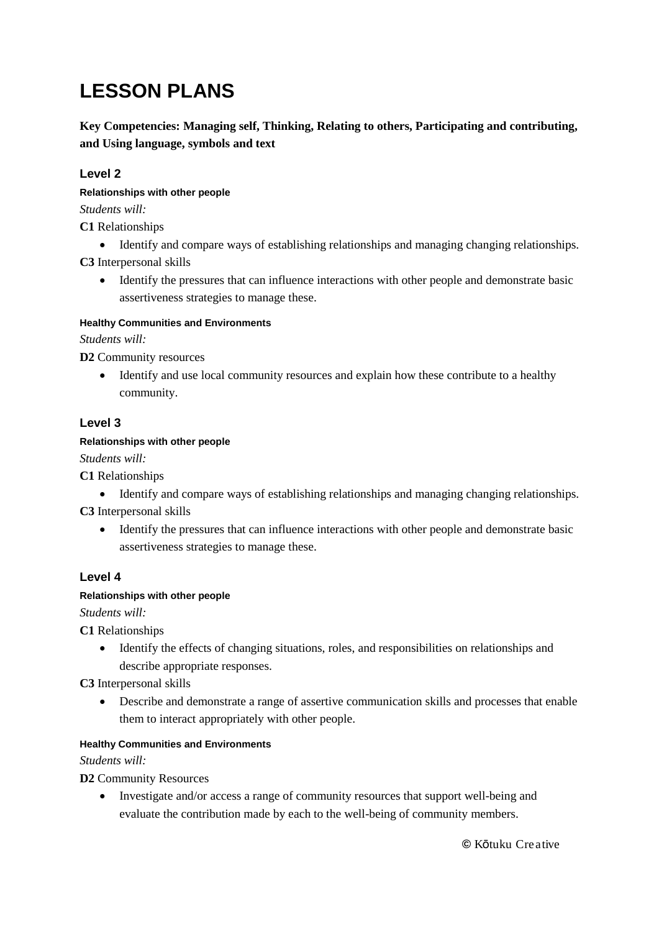# **LESSON PLANS**

**Key Competencies: Managing self, Thinking, Relating to others, Participating and contributing, and Using language, symbols and text**

# **Level 2**

**Relationships with other people**

*Students will:*

**C1** Relationships

Identify and compare ways of establishing relationships and managing changing relationships.

**C3** Interpersonal skills

• Identify the pressures that can influence interactions with other people and demonstrate basic assertiveness strategies to manage these.

# **Healthy Communities and Environments**

*Students will:*

**D2** Community resources

 Identify and use local community resources and explain how these contribute to a healthy community.

# **Level 3**

# **Relationships with other people**

*Students will:*

**C1** Relationships

Identify and compare ways of establishing relationships and managing changing relationships.

**C3** Interpersonal skills

 Identify the pressures that can influence interactions with other people and demonstrate basic assertiveness strategies to manage these.

# **Level 4**

# **Relationships with other people**

*Students will:*

**C1** Relationships

 Identify the effects of changing situations, roles, and responsibilities on relationships and describe appropriate responses.

**C3** Interpersonal skills

 Describe and demonstrate a range of assertive communication skills and processes that enable them to interact appropriately with other people.

# **Healthy Communities and Environments**

*Students will:*

**D2** Community Resources

• Investigate and/or access a range of community resources that support well-being and evaluate the contribution made by each to the well-being of community members.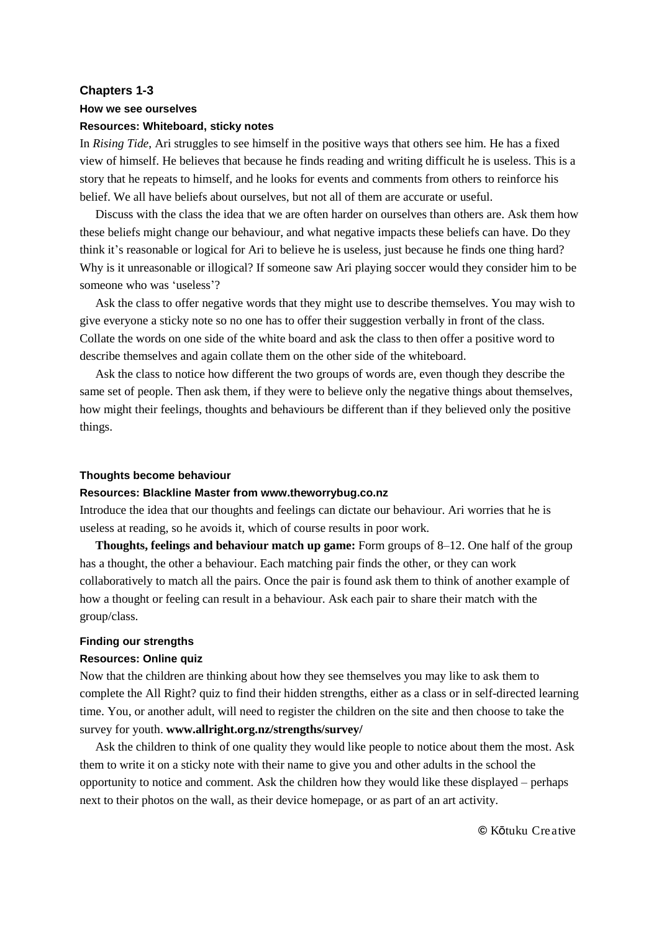## **Chapters 1-3**

#### **How we see ourselves**

## **Resources: Whiteboard, sticky notes**

In *Rising Tide*, Ari struggles to see himself in the positive ways that others see him. He has a fixed view of himself. He believes that because he finds reading and writing difficult he is useless. This is a story that he repeats to himself, and he looks for events and comments from others to reinforce his belief. We all have beliefs about ourselves, but not all of them are accurate or useful.

Discuss with the class the idea that we are often harder on ourselves than others are. Ask them how these beliefs might change our behaviour, and what negative impacts these beliefs can have. Do they think it's reasonable or logical for Ari to believe he is useless, just because he finds one thing hard? Why is it unreasonable or illogical? If someone saw Ari playing soccer would they consider him to be someone who was 'useless'?

Ask the class to offer negative words that they might use to describe themselves. You may wish to give everyone a sticky note so no one has to offer their suggestion verbally in front of the class. Collate the words on one side of the white board and ask the class to then offer a positive word to describe themselves and again collate them on the other side of the whiteboard.

Ask the class to notice how different the two groups of words are, even though they describe the same set of people. Then ask them, if they were to believe only the negative things about themselves, how might their feelings, thoughts and behaviours be different than if they believed only the positive things.

#### **Thoughts become behaviour**

# **Resources: Blackline Master from www.theworrybug.co.nz**

Introduce the idea that our thoughts and feelings can dictate our behaviour. Ari worries that he is useless at reading, so he avoids it, which of course results in poor work.

**Thoughts, feelings and behaviour match up game:** Form groups of 8–12. One half of the group has a thought, the other a behaviour. Each matching pair finds the other, or they can work collaboratively to match all the pairs. Once the pair is found ask them to think of another example of how a thought or feeling can result in a behaviour. Ask each pair to share their match with the group/class.

#### **Finding our strengths**

## **Resources: Online quiz**

Now that the children are thinking about how they see themselves you may like to ask them to complete the All Right? quiz to find their hidden strengths, either as a class or in self-directed learning time. You, or another adult, will need to register the children on the site and then choose to take the survey for youth. **www.allright.org.nz/strengths/survey/**

Ask the children to think of one quality they would like people to notice about them the most. Ask them to write it on a sticky note with their name to give you and other adults in the school the opportunity to notice and comment. Ask the children how they would like these displayed – perhaps next to their photos on the wall, as their device homepage, or as part of an art activity.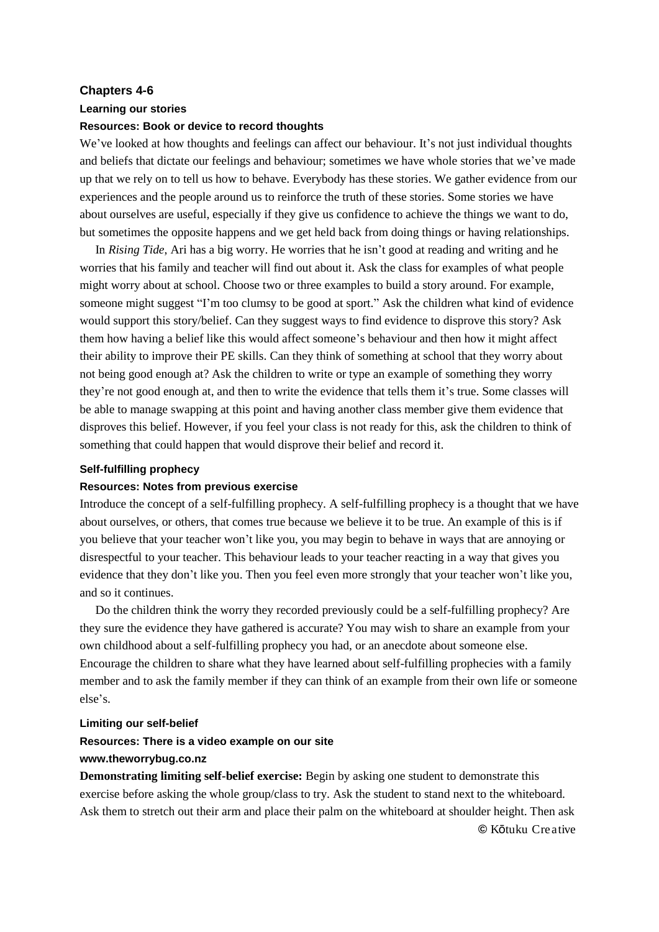## **Chapters 4-6**

#### **Learning our stories**

## **Resources: Book or device to record thoughts**

We've looked at how thoughts and feelings can affect our behaviour. It's not just individual thoughts and beliefs that dictate our feelings and behaviour; sometimes we have whole stories that we've made up that we rely on to tell us how to behave. Everybody has these stories. We gather evidence from our experiences and the people around us to reinforce the truth of these stories. Some stories we have about ourselves are useful, especially if they give us confidence to achieve the things we want to do, but sometimes the opposite happens and we get held back from doing things or having relationships.

In *Rising Tide*, Ari has a big worry. He worries that he isn't good at reading and writing and he worries that his family and teacher will find out about it. Ask the class for examples of what people might worry about at school. Choose two or three examples to build a story around. For example, someone might suggest "I'm too clumsy to be good at sport." Ask the children what kind of evidence would support this story/belief. Can they suggest ways to find evidence to disprove this story? Ask them how having a belief like this would affect someone's behaviour and then how it might affect their ability to improve their PE skills. Can they think of something at school that they worry about not being good enough at? Ask the children to write or type an example of something they worry they're not good enough at, and then to write the evidence that tells them it's true. Some classes will be able to manage swapping at this point and having another class member give them evidence that disproves this belief. However, if you feel your class is not ready for this, ask the children to think of something that could happen that would disprove their belief and record it.

### **Self-fulfilling prophecy**

# **Resources: Notes from previous exercise**

Introduce the concept of a self-fulfilling prophecy. A self-fulfilling prophecy is a thought that we have about ourselves, or others, that comes true because we believe it to be true. An example of this is if you believe that your teacher won't like you, you may begin to behave in ways that are annoying or disrespectful to your teacher. This behaviour leads to your teacher reacting in a way that gives you evidence that they don't like you. Then you feel even more strongly that your teacher won't like you, and so it continues.

Do the children think the worry they recorded previously could be a self-fulfilling prophecy? Are they sure the evidence they have gathered is accurate? You may wish to share an example from your own childhood about a self-fulfilling prophecy you had, or an anecdote about someone else. Encourage the children to share what they have learned about self-fulfilling prophecies with a family member and to ask the family member if they can think of an example from their own life or someone else's.

#### **Limiting our self-belief**

#### **Resources: There is a video example on our site**

# **www.theworrybug.co.nz**

**Demonstrating limiting self-belief exercise:** Begin by asking one student to demonstrate this exercise before asking the whole group/class to try. Ask the student to stand next to the whiteboard. Ask them to stretch out their arm and place their palm on the whiteboard at shoulder height. Then ask **©** Kōtuku Creative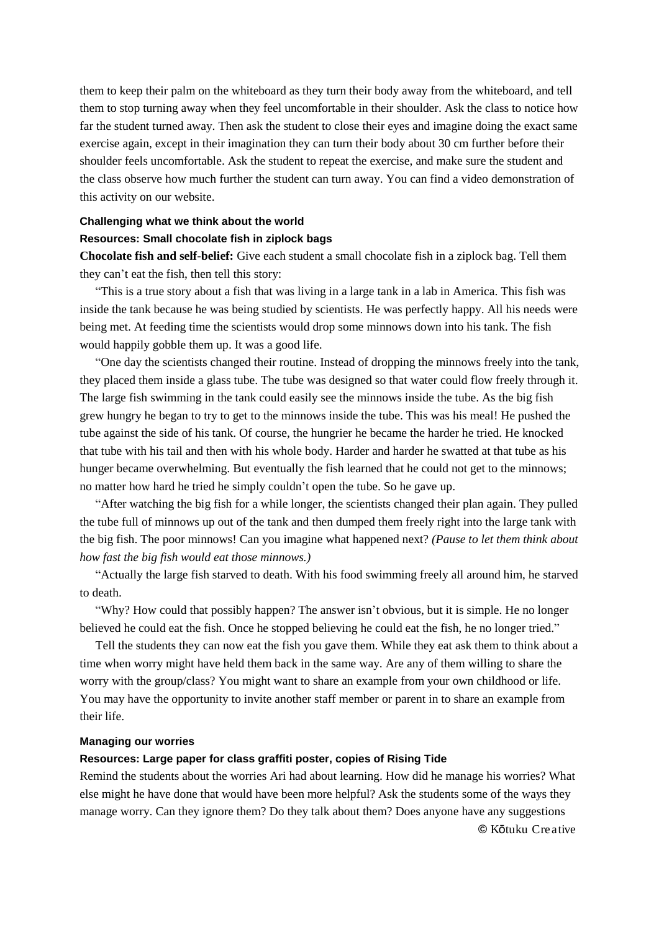them to keep their palm on the whiteboard as they turn their body away from the whiteboard, and tell them to stop turning away when they feel uncomfortable in their shoulder. Ask the class to notice how far the student turned away. Then ask the student to close their eyes and imagine doing the exact same exercise again, except in their imagination they can turn their body about 30 cm further before their shoulder feels uncomfortable. Ask the student to repeat the exercise, and make sure the student and the class observe how much further the student can turn away. You can find a video demonstration of this activity on our website.

#### **Challenging what we think about the world**

# **Resources: Small chocolate fish in ziplock bags**

**Chocolate fish and self-belief:** Give each student a small chocolate fish in a ziplock bag. Tell them they can't eat the fish, then tell this story:

"This is a true story about a fish that was living in a large tank in a lab in America. This fish was inside the tank because he was being studied by scientists. He was perfectly happy. All his needs were being met. At feeding time the scientists would drop some minnows down into his tank. The fish would happily gobble them up. It was a good life.

"One day the scientists changed their routine. Instead of dropping the minnows freely into the tank, they placed them inside a glass tube. The tube was designed so that water could flow freely through it. The large fish swimming in the tank could easily see the minnows inside the tube. As the big fish grew hungry he began to try to get to the minnows inside the tube. This was his meal! He pushed the tube against the side of his tank. Of course, the hungrier he became the harder he tried. He knocked that tube with his tail and then with his whole body. Harder and harder he swatted at that tube as his hunger became overwhelming. But eventually the fish learned that he could not get to the minnows; no matter how hard he tried he simply couldn't open the tube. So he gave up.

"After watching the big fish for a while longer, the scientists changed their plan again. They pulled the tube full of minnows up out of the tank and then dumped them freely right into the large tank with the big fish. The poor minnows! Can you imagine what happened next? *(Pause to let them think about how fast the big fish would eat those minnows.)*

"Actually the large fish starved to death. With his food swimming freely all around him, he starved to death.

"Why? How could that possibly happen? The answer isn't obvious, but it is simple. He no longer believed he could eat the fish. Once he stopped believing he could eat the fish, he no longer tried."

Tell the students they can now eat the fish you gave them. While they eat ask them to think about a time when worry might have held them back in the same way. Are any of them willing to share the worry with the group/class? You might want to share an example from your own childhood or life. You may have the opportunity to invite another staff member or parent in to share an example from their life.

#### **Managing our worries**

# **Resources: Large paper for class graffiti poster, copies of Rising Tide**

Remind the students about the worries Ari had about learning. How did he manage his worries? What else might he have done that would have been more helpful? Ask the students some of the ways they manage worry. Can they ignore them? Do they talk about them? Does anyone have any suggestions **©** Kōtuku Creative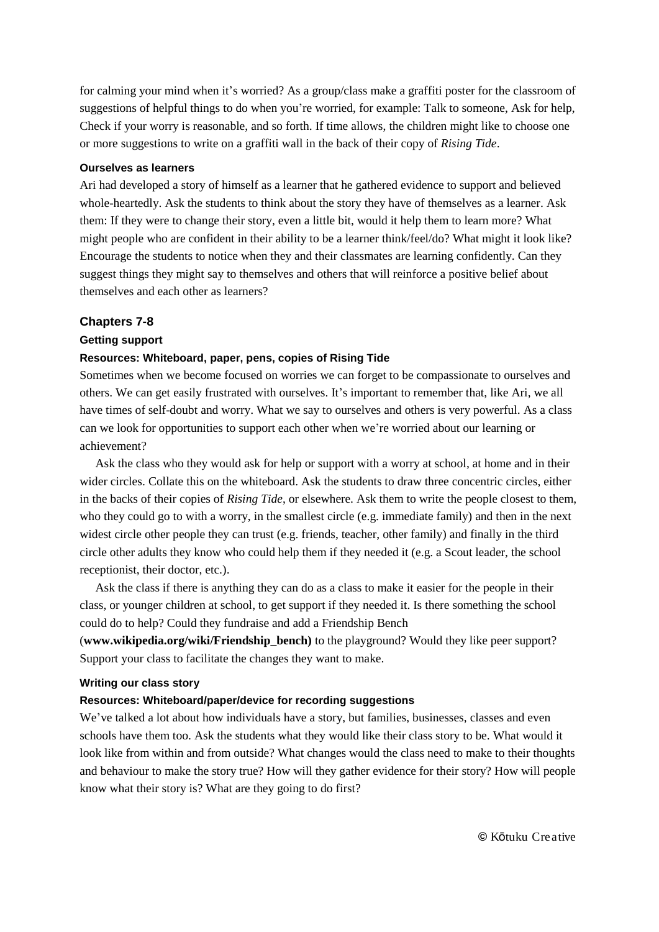for calming your mind when it's worried? As a group/class make a graffiti poster for the classroom of suggestions of helpful things to do when you're worried, for example: Talk to someone, Ask for help, Check if your worry is reasonable, and so forth. If time allows, the children might like to choose one or more suggestions to write on a graffiti wall in the back of their copy of *Rising Tide*.

## **Ourselves as learners**

Ari had developed a story of himself as a learner that he gathered evidence to support and believed whole-heartedly. Ask the students to think about the story they have of themselves as a learner. Ask them: If they were to change their story, even a little bit, would it help them to learn more? What might people who are confident in their ability to be a learner think/feel/do? What might it look like? Encourage the students to notice when they and their classmates are learning confidently. Can they suggest things they might say to themselves and others that will reinforce a positive belief about themselves and each other as learners?

# **Chapters 7-8**

#### **Getting support**

# **Resources: Whiteboard, paper, pens, copies of Rising Tide**

Sometimes when we become focused on worries we can forget to be compassionate to ourselves and others. We can get easily frustrated with ourselves. It's important to remember that, like Ari, we all have times of self-doubt and worry. What we say to ourselves and others is very powerful. As a class can we look for opportunities to support each other when we're worried about our learning or achievement?

Ask the class who they would ask for help or support with a worry at school, at home and in their wider circles. Collate this on the whiteboard. Ask the students to draw three concentric circles, either in the backs of their copies of *Rising Tide*, or elsewhere. Ask them to write the people closest to them, who they could go to with a worry, in the smallest circle (e.g. immediate family) and then in the next widest circle other people they can trust (e.g. friends, teacher, other family) and finally in the third circle other adults they know who could help them if they needed it (e.g. a Scout leader, the school receptionist, their doctor, etc.).

Ask the class if there is anything they can do as a class to make it easier for the people in their class, or younger children at school, to get support if they needed it. Is there something the school could do to help? Could they fundraise and add a Friendship Bench

(**www.wikipedia.org/wiki/Friendship\_bench)** to the playground? Would they like peer support? Support your class to facilitate the changes they want to make.

## **Writing our class story**

# **Resources: Whiteboard/paper/device for recording suggestions**

We've talked a lot about how individuals have a story, but families, businesses, classes and even schools have them too. Ask the students what they would like their class story to be. What would it look like from within and from outside? What changes would the class need to make to their thoughts and behaviour to make the story true? How will they gather evidence for their story? How will people know what their story is? What are they going to do first?